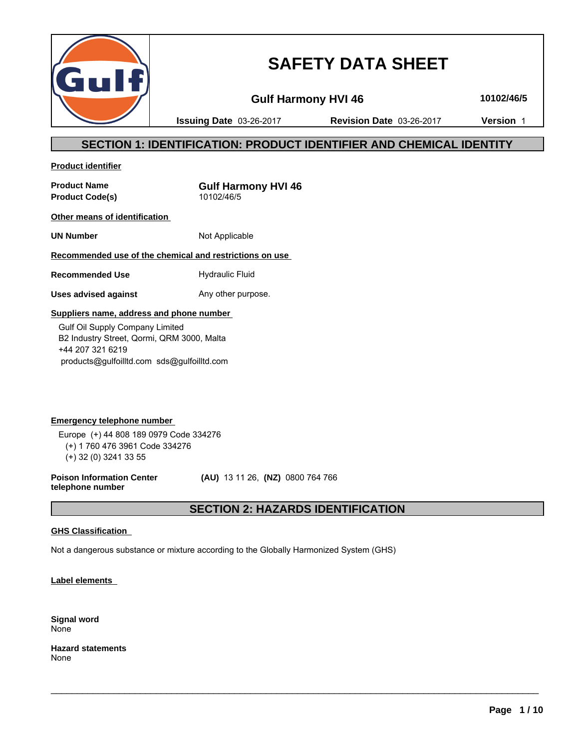

# **SAFETY DATA SHEET**

**Gulf Harmony HVI 46 10102/46/5**

**Issuing Date** 03-26-2017 **Revision Date** 03-26-2017 **Version** 1

## **SECTION 1: IDENTIFICATION: PRODUCT IDENTIFIER AND CHEMICAL IDENTITY**

**Product identifier**

**Product Name**<br> **Product Code(s)**<br> **Product Code(s)**<br> **CODEC 10102/46/5 Product Code(s)** 

**Other means of identification** 

**UN Number** Not Applicable

### **Recommended use of the chemical and restrictions on use**

**Recommended Use Hydraulic Fluid** 

**Uses advised against** Any other purpose.

#### **Suppliers name, address and phone number**

 Gulf Oil Supply Company Limited B2 Industry Street, Qormi, QRM 3000, Malta +44 207 321 6219 products@gulfoilltd.com sds@gulfoilltd.com

**Emergency telephone number**  Europe (+) 44 808 189 0979 Code 334276 (+) 1 760 476 3961 Code 334276 (+) 32 (0) 3241 33 55

**Poison Information Center telephone number**

 **(AU)** 13 11 26, **(NZ)** 0800 764 766

## **SECTION 2: HAZARDS IDENTIFICATION**

 $\_$  ,  $\_$  ,  $\_$  ,  $\_$  ,  $\_$  ,  $\_$  ,  $\_$  ,  $\_$  ,  $\_$  ,  $\_$  ,  $\_$  ,  $\_$  ,  $\_$  ,  $\_$  ,  $\_$  ,  $\_$  ,  $\_$  ,  $\_$  ,  $\_$  ,  $\_$  ,  $\_$  ,  $\_$  ,  $\_$  ,  $\_$  ,  $\_$  ,  $\_$  ,  $\_$  ,  $\_$  ,  $\_$  ,  $\_$  ,  $\_$  ,  $\_$  ,  $\_$  ,  $\_$  ,  $\_$  ,  $\_$  ,  $\_$  ,

#### **GHS Classification**

Not a dangerous substance or mixture according to the Globally Harmonized System (GHS)

**Label elements** 

**Signal word** None

**Hazard statements** None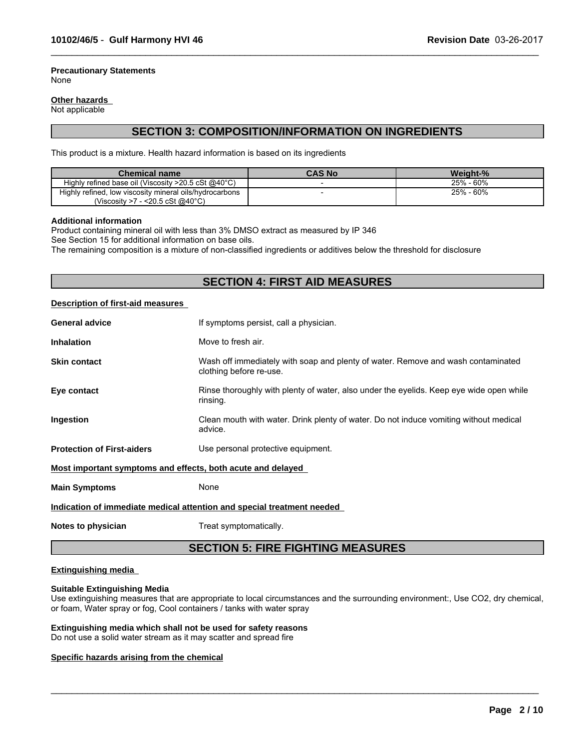#### **Precautionary Statements** None

#### **Other hazards**

Not applicable

## **SECTION 3: COMPOSITION/INFORMATION ON INGREDIENTS**

 $\_$  ,  $\_$  ,  $\_$  ,  $\_$  ,  $\_$  ,  $\_$  ,  $\_$  ,  $\_$  ,  $\_$  ,  $\_$  ,  $\_$  ,  $\_$  ,  $\_$  ,  $\_$  ,  $\_$  ,  $\_$  ,  $\_$  ,  $\_$  ,  $\_$  ,  $\_$  ,  $\_$  ,  $\_$  ,  $\_$  ,  $\_$  ,  $\_$  ,  $\_$  ,  $\_$  ,  $\_$  ,  $\_$  ,  $\_$  ,  $\_$  ,  $\_$  ,  $\_$  ,  $\_$  ,  $\_$  ,  $\_$  ,  $\_$  ,

This product is a mixture. Health hazard information is based on its ingredients

| <b>Chemical name</b>                                             | <b>CAS No</b> | Weight-%     |
|------------------------------------------------------------------|---------------|--------------|
| Highly refined base oil (Viscosity $>20.5$ cSt @40 $^{\circ}$ C) |               | - 60%<br>25% |
| Highly refined, low viscosity mineral oils/hydrocarbons          |               | - 60%<br>25% |
| 7 - <20.5 cSt @40°C)<br>(Viscositv >7                            |               |              |

#### **Additional information**

Product containing mineral oil with less than 3% DMSO extract as measured by IP 346

See Section 15 for additional information on base oils.

The remaining composition is a mixture of non-classified ingredients or additives below the threshold for disclosure

## **SECTION 4: FIRST AID MEASURES**

#### **Description of first-aid measures**

| <b>General advice</b>                                       | If symptoms persist, call a physician.                                                                      |
|-------------------------------------------------------------|-------------------------------------------------------------------------------------------------------------|
| <b>Inhalation</b>                                           | Move to fresh air.                                                                                          |
| <b>Skin contact</b>                                         | Wash off immediately with soap and plenty of water. Remove and wash contaminated<br>clothing before re-use. |
| Eye contact                                                 | Rinse thoroughly with plenty of water, also under the eyelids. Keep eye wide open while<br>rinsing.         |
| Ingestion                                                   | Clean mouth with water. Drink plenty of water. Do not induce vomiting without medical<br>advice.            |
| <b>Protection of First-aiders</b>                           | Use personal protective equipment.                                                                          |
| Most important symptoms and effects, both acute and delayed |                                                                                                             |
| <b>Main Symptoms</b>                                        | None                                                                                                        |
|                                                             | Indication of immediate medical attention and special treatment needed                                      |
|                                                             |                                                                                                             |

**Notes to physician** Treat symptomatically.

## **SECTION 5: FIRE FIGHTING MEASURES**

#### **Extinguishing media**

#### **Suitable Extinguishing Media**

Use extinguishing measures that are appropriate to local circumstances and the surrounding environment:, Use CO2, dry chemical, or foam, Water spray or fog, Cool containers / tanks with water spray

 $\_$  ,  $\_$  ,  $\_$  ,  $\_$  ,  $\_$  ,  $\_$  ,  $\_$  ,  $\_$  ,  $\_$  ,  $\_$  ,  $\_$  ,  $\_$  ,  $\_$  ,  $\_$  ,  $\_$  ,  $\_$  ,  $\_$  ,  $\_$  ,  $\_$  ,  $\_$  ,  $\_$  ,  $\_$  ,  $\_$  ,  $\_$  ,  $\_$  ,  $\_$  ,  $\_$  ,  $\_$  ,  $\_$  ,  $\_$  ,  $\_$  ,  $\_$  ,  $\_$  ,  $\_$  ,  $\_$  ,  $\_$  ,  $\_$  ,

#### **Extinguishing media which shall not be used for safety reasons**

Do not use a solid water stream as it may scatter and spread fire

#### **Specific hazards arising from the chemical**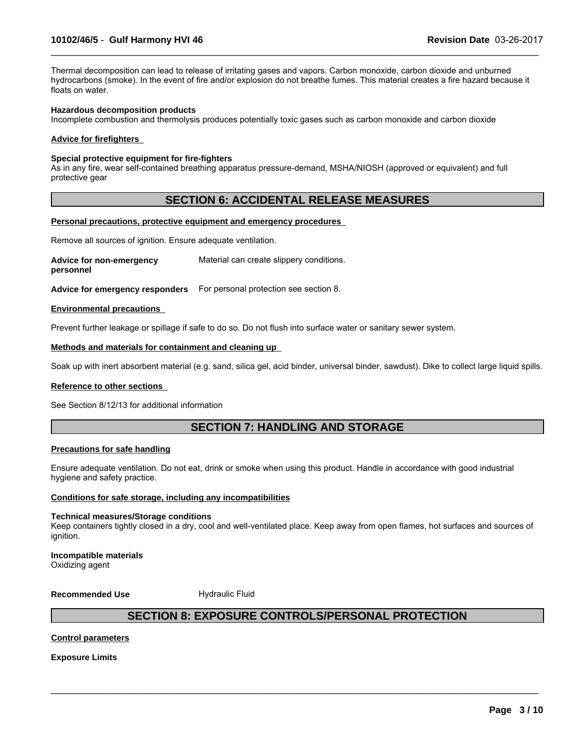Thermal decomposition can lead to release of irritating gases and vapors. Carbon monoxide, carbon dioxide and unburned hydrocarbons (smoke). In the event of fire and/or explosion do not breathe fumes. This material creates a fire hazard because it floats on water.

 $\_$  ,  $\_$  ,  $\_$  ,  $\_$  ,  $\_$  ,  $\_$  ,  $\_$  ,  $\_$  ,  $\_$  ,  $\_$  ,  $\_$  ,  $\_$  ,  $\_$  ,  $\_$  ,  $\_$  ,  $\_$  ,  $\_$  ,  $\_$  ,  $\_$  ,  $\_$  ,  $\_$  ,  $\_$  ,  $\_$  ,  $\_$  ,  $\_$  ,  $\_$  ,  $\_$  ,  $\_$  ,  $\_$  ,  $\_$  ,  $\_$  ,  $\_$  ,  $\_$  ,  $\_$  ,  $\_$  ,  $\_$  ,  $\_$  ,

#### **Hazardous decomposition products**

Incomplete combustion and thermolysis produces potentially toxic gases such as carbon monoxide and carbon dioxide

#### **Advice for firefighters**

#### **Special protective equipment for fire-fighters**

As in any fire, wear self-contained breathing apparatus pressure-demand, MSHA/NIOSH (approved or equivalent) and full protective gear

#### **SECTION 6: ACCIDENTAL RELEASE MEASURES**

#### **Personal precautions, protective equipment and emergency procedures**

Remove all sources of ignition. Ensure adequate ventilation.

**Advice for non-emergency personnel** Material can create slippery conditions.

**Advice for emergency responders** For personal protection see section 8.

#### **Environmental precautions**

Prevent further leakage or spillage if safe to do so. Do not flush into surface water or sanitary sewer system.

#### **Methods and materials for containment and cleaning up**

Soak up with inert absorbent material (e.g. sand, silica gel, acid binder, universal binder, sawdust). Dike to collect large liquid spills.

#### **Reference to other sections**

See Section 8/12/13 for additional information

## **SECTION 7: HANDLING AND STORAGE**

#### **Precautions for safe handling**

Ensure adequate ventilation. Do not eat, drink or smoke when using this product. Handle in accordance with good industrial hygiene and safety practice.

#### **Conditions for safe storage, including any incompatibilities**

#### **Technical measures/Storage conditions**

Keep containers tightly closed in a dry, cool and well-ventilated place. Keep away from open flames, hot surfaces and sources of ignition.

#### **Incompatible materials** Oxidizing agent

**Recommended Use** Hydraulic Fluid

### **SECTION 8: EXPOSURE CONTROLS/PERSONAL PROTECTION**

 $\_$  ,  $\_$  ,  $\_$  ,  $\_$  ,  $\_$  ,  $\_$  ,  $\_$  ,  $\_$  ,  $\_$  ,  $\_$  ,  $\_$  ,  $\_$  ,  $\_$  ,  $\_$  ,  $\_$  ,  $\_$  ,  $\_$  ,  $\_$  ,  $\_$  ,  $\_$  ,  $\_$  ,  $\_$  ,  $\_$  ,  $\_$  ,  $\_$  ,  $\_$  ,  $\_$  ,  $\_$  ,  $\_$  ,  $\_$  ,  $\_$  ,  $\_$  ,  $\_$  ,  $\_$  ,  $\_$  ,  $\_$  ,  $\_$  ,

#### **Control parameters**

**Exposure Limits**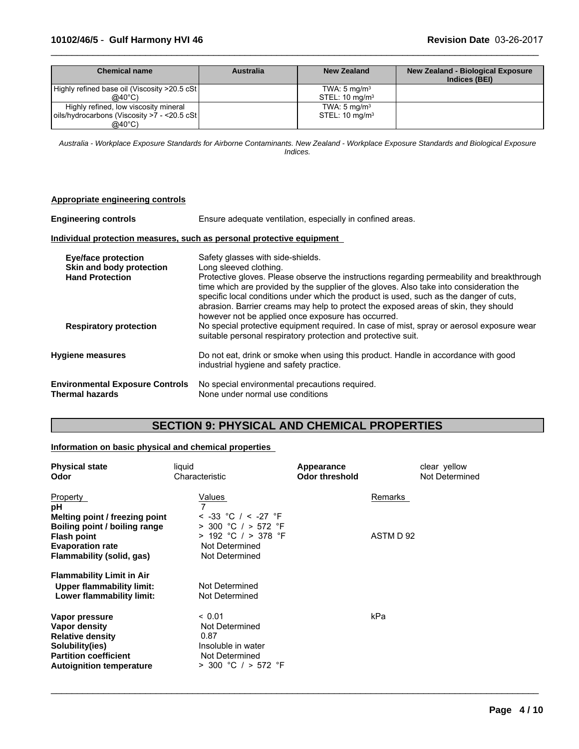| Chemical name                                 | <b>Australia</b> | New Zealand               | <b>New Zealand - Biological Exposure</b><br>Indices (BEI) |
|-----------------------------------------------|------------------|---------------------------|-----------------------------------------------------------|
| Highly refined base oil (Viscosity >20.5 cSt) |                  | TWA: $5 \text{ mg/m}^3$   |                                                           |
| $@40^{\circ}$ C)                              |                  | STEL: $10 \text{ mg/m}^3$ |                                                           |
| Highly refined, low viscosity mineral         |                  | TWA: $5 \text{ mg/m}^3$   |                                                           |
| oils/hydrocarbons (Viscosity >7 - <20.5 cSt   |                  | STEL: $10 \text{ mg/m}^3$ |                                                           |
| $@40^{\circ}$ C)                              |                  |                           |                                                           |

 $\_$  ,  $\_$  ,  $\_$  ,  $\_$  ,  $\_$  ,  $\_$  ,  $\_$  ,  $\_$  ,  $\_$  ,  $\_$  ,  $\_$  ,  $\_$  ,  $\_$  ,  $\_$  ,  $\_$  ,  $\_$  ,  $\_$  ,  $\_$  ,  $\_$  ,  $\_$  ,  $\_$  ,  $\_$  ,  $\_$  ,  $\_$  ,  $\_$  ,  $\_$  ,  $\_$  ,  $\_$  ,  $\_$  ,  $\_$  ,  $\_$  ,  $\_$  ,  $\_$  ,  $\_$  ,  $\_$  ,  $\_$  ,  $\_$  ,

*Australia - Workplace Exposure Standards for Airborne Contaminants. New Zealand - Workplace Exposure Standards and Biological Exposure Indices.*

| Appropriate engineering controls                                                 |                                                                                                                                                                                                                                                                                                                                                                                                                                                                                             |
|----------------------------------------------------------------------------------|---------------------------------------------------------------------------------------------------------------------------------------------------------------------------------------------------------------------------------------------------------------------------------------------------------------------------------------------------------------------------------------------------------------------------------------------------------------------------------------------|
| <b>Engineering controls</b>                                                      | Ensure adequate ventilation, especially in confined areas.                                                                                                                                                                                                                                                                                                                                                                                                                                  |
|                                                                                  | Individual protection measures, such as personal protective equipment                                                                                                                                                                                                                                                                                                                                                                                                                       |
| <b>Eye/face protection</b><br>Skin and body protection<br><b>Hand Protection</b> | Safety glasses with side-shields.<br>Long sleeved clothing.<br>Protective gloves. Please observe the instructions regarding permeability and breakthrough<br>time which are provided by the supplier of the gloves. Also take into consideration the<br>specific local conditions under which the product is used, such as the danger of cuts,<br>abrasion. Barrier creams may help to protect the exposed areas of skin, they should<br>however not be applied once exposure has occurred. |
| <b>Respiratory protection</b>                                                    | No special protective equipment required. In case of mist, spray or aerosol exposure wear<br>suitable personal respiratory protection and protective suit.                                                                                                                                                                                                                                                                                                                                  |
| <b>Hygiene measures</b>                                                          | Do not eat, drink or smoke when using this product. Handle in accordance with good<br>industrial hygiene and safety practice.                                                                                                                                                                                                                                                                                                                                                               |
| <b>Environmental Exposure Controls</b><br><b>Thermal hazards</b>                 | No special environmental precautions required.<br>None under normal use conditions                                                                                                                                                                                                                                                                                                                                                                                                          |

## **SECTION 9: PHYSICAL AND CHEMICAL PROPERTIES**

 $\_$  ,  $\_$  ,  $\_$  ,  $\_$  ,  $\_$  ,  $\_$  ,  $\_$  ,  $\_$  ,  $\_$  ,  $\_$  ,  $\_$  ,  $\_$  ,  $\_$  ,  $\_$  ,  $\_$  ,  $\_$  ,  $\_$  ,  $\_$  ,  $\_$  ,  $\_$  ,  $\_$  ,  $\_$  ,  $\_$  ,  $\_$  ,  $\_$  ,  $\_$  ,  $\_$  ,  $\_$  ,  $\_$  ,  $\_$  ,  $\_$  ,  $\_$  ,  $\_$  ,  $\_$  ,  $\_$  ,  $\_$  ,  $\_$  ,

### **Information on basic physical and chemical properties**

| <b>Physical state</b><br>Odor                                                                                                                    | liquid<br>Characteristic                                                                                      | Appearance<br><b>Odor threshold</b> | clear yellow<br>Not Determined |
|--------------------------------------------------------------------------------------------------------------------------------------------------|---------------------------------------------------------------------------------------------------------------|-------------------------------------|--------------------------------|
| Property<br>рH                                                                                                                                   | Values                                                                                                        |                                     | Remarks                        |
| Melting point / freezing point<br>Boiling point / boiling range<br><b>Flash point</b><br><b>Evaporation rate</b><br>Flammability (solid, gas)    | $<$ -33 °C / $<$ -27 °F<br>$>$ 300 °C / $>$ 572 °F<br>> 192 °C / > 378 °F<br>Not Determined<br>Not Determined |                                     | ASTM D 92                      |
| <b>Flammability Limit in Air</b><br><b>Upper flammability limit:</b><br>Lower flammability limit:                                                | Not Determined<br>Not Determined                                                                              |                                     |                                |
| Vapor pressure<br>Vapor density<br><b>Relative density</b><br>Solubility(ies)<br><b>Partition coefficient</b><br><b>Autoignition temperature</b> | ~< 0.01<br>Not Determined<br>0.87<br>Insoluble in water<br>Not Determined<br>$>$ 300 °C / $>$ 572 °F          |                                     | kPa                            |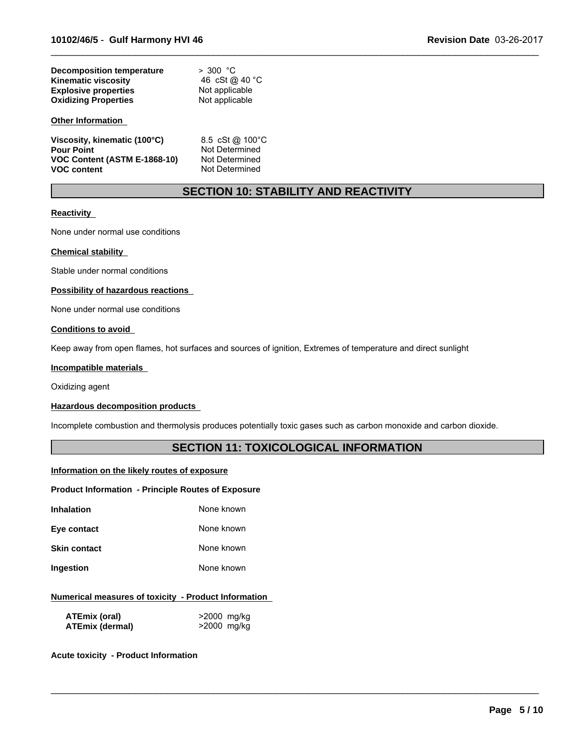| Decomposition temperature   | > 300 °C       |
|-----------------------------|----------------|
| <b>Kinematic viscosity</b>  | 46 cSt @ 40 °C |
| <b>Explosive properties</b> | Not applicable |
| <b>Oxidizing Properties</b> | Not applicable |

#### **Other Information**

| Viscosity, kinematic (100°C) | 8.5 cSt @ 100 °C |
|------------------------------|------------------|
| <b>Pour Point</b>            | Not Determined   |
| VOC Content (ASTM E-1868-10) | Not Determined   |
| <b>VOC content</b>           | Not Determined   |

## **SECTION 10: STABILITY AND REACTIVITY**

 $\_$  ,  $\_$  ,  $\_$  ,  $\_$  ,  $\_$  ,  $\_$  ,  $\_$  ,  $\_$  ,  $\_$  ,  $\_$  ,  $\_$  ,  $\_$  ,  $\_$  ,  $\_$  ,  $\_$  ,  $\_$  ,  $\_$  ,  $\_$  ,  $\_$  ,  $\_$  ,  $\_$  ,  $\_$  ,  $\_$  ,  $\_$  ,  $\_$  ,  $\_$  ,  $\_$  ,  $\_$  ,  $\_$  ,  $\_$  ,  $\_$  ,  $\_$  ,  $\_$  ,  $\_$  ,  $\_$  ,  $\_$  ,  $\_$  ,

#### **Reactivity**

None under normal use conditions

#### **Chemical stability**

Stable under normal conditions

#### **Possibility of hazardous reactions**

None under normal use conditions

#### **Conditions to avoid**

Keep away from open flames, hot surfaces and sources of ignition, Extremes of temperature and direct sunlight

#### **Incompatible materials**

Oxidizing agent

#### **Hazardous decomposition products**

Incomplete combustion and thermolysis produces potentially toxic gases such as carbon monoxide and carbon dioxide.

### **SECTION 11: TOXICOLOGICAL INFORMATION**

 $\_$  ,  $\_$  ,  $\_$  ,  $\_$  ,  $\_$  ,  $\_$  ,  $\_$  ,  $\_$  ,  $\_$  ,  $\_$  ,  $\_$  ,  $\_$  ,  $\_$  ,  $\_$  ,  $\_$  ,  $\_$  ,  $\_$  ,  $\_$  ,  $\_$  ,  $\_$  ,  $\_$  ,  $\_$  ,  $\_$  ,  $\_$  ,  $\_$  ,  $\_$  ,  $\_$  ,  $\_$  ,  $\_$  ,  $\_$  ,  $\_$  ,  $\_$  ,  $\_$  ,  $\_$  ,  $\_$  ,  $\_$  ,  $\_$  ,

#### **Information on the likely routes of exposure**

#### **Product Information - Principle Routes of Exposure**

| Inhalation | None known |  |
|------------|------------|--|

**Eye contact** None known

**Skin contact** None known

**Ingestion** None known

#### **Numerical measures of toxicity - Product Information**

| ATEmix (oral)   | >2000 mg/kg |
|-----------------|-------------|
| ATEmix (dermal) | >2000 mg/kg |

**Acute toxicity - Product Information**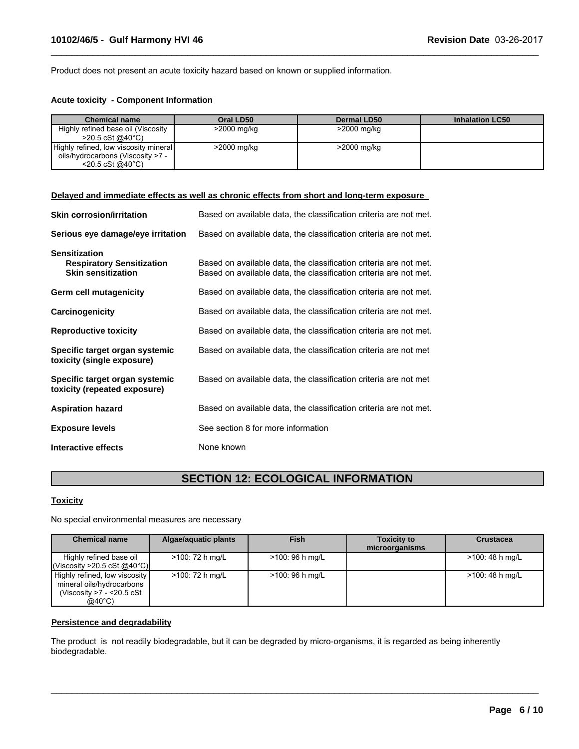Product does not present an acute toxicity hazard based on known or supplied information.

#### **Acute toxicity - Component Information**

| <b>Chemical name</b>                  | Oral LD50   | <b>Dermal LD50</b> | <b>Inhalation LC50</b> |
|---------------------------------------|-------------|--------------------|------------------------|
| Highly refined base oil (Viscosity    | >2000 mg/kg | >2000 mg/kg        |                        |
| $>$ 20.5 cSt @40°C)                   |             |                    |                        |
| Highly refined, low viscosity mineral | >2000 mg/kg | >2000 mg/kg        |                        |
| oils/hydrocarbons (Viscosity >7 -     |             |                    |                        |
| $<$ 20.5 cSt @40 $^{\circ}$ C)        |             |                    |                        |

 $\_$  ,  $\_$  ,  $\_$  ,  $\_$  ,  $\_$  ,  $\_$  ,  $\_$  ,  $\_$  ,  $\_$  ,  $\_$  ,  $\_$  ,  $\_$  ,  $\_$  ,  $\_$  ,  $\_$  ,  $\_$  ,  $\_$  ,  $\_$  ,  $\_$  ,  $\_$  ,  $\_$  ,  $\_$  ,  $\_$  ,  $\_$  ,  $\_$  ,  $\_$  ,  $\_$  ,  $\_$  ,  $\_$  ,  $\_$  ,  $\_$  ,  $\_$  ,  $\_$  ,  $\_$  ,  $\_$  ,  $\_$  ,  $\_$  ,

#### **Delayed and immediate effects as well as chronic effects from short and long-term exposure**

| <b>Skin corrosion/irritation</b>                                                      | Based on available data, the classification criteria are not met.                                                                      |
|---------------------------------------------------------------------------------------|----------------------------------------------------------------------------------------------------------------------------------------|
| Serious eye damage/eye irritation                                                     | Based on available data, the classification criteria are not met.                                                                      |
| <b>Sensitization</b><br><b>Respiratory Sensitization</b><br><b>Skin sensitization</b> | Based on available data, the classification criteria are not met.<br>Based on available data, the classification criteria are not met. |
| Germ cell mutagenicity                                                                | Based on available data, the classification criteria are not met.                                                                      |
| Carcinogenicity                                                                       | Based on available data, the classification criteria are not met.                                                                      |
| <b>Reproductive toxicity</b>                                                          | Based on available data, the classification criteria are not met.                                                                      |
| Specific target organ systemic<br>toxicity (single exposure)                          | Based on available data, the classification criteria are not met                                                                       |
| Specific target organ systemic<br>toxicity (repeated exposure)                        | Based on available data, the classification criteria are not met                                                                       |
| <b>Aspiration hazard</b>                                                              | Based on available data, the classification criteria are not met.                                                                      |
| <b>Exposure levels</b>                                                                | See section 8 for more information                                                                                                     |
| Interactive effects                                                                   | None known                                                                                                                             |

## **SECTION 12: ECOLOGICAL INFORMATION**

#### **Toxicity**

No special environmental measures are necessary

| <b>Chemical name</b>                                                                                        | Algae/aquatic plants | <b>Fish</b>      | <b>Toxicity to</b><br>microorganisms | <b>Crustacea</b> |
|-------------------------------------------------------------------------------------------------------------|----------------------|------------------|--------------------------------------|------------------|
| Highly refined base oil<br>l(Viscosity >20.5 cSt @40°C)l                                                    | >100: 72 h mg/L      | >100: 96 h mg/L  |                                      | >100: 48 h mg/L  |
| Highly refined, low viscosity<br>mineral oils/hydrocarbons<br>(Viscosity >7 - <20.5 cSt<br>$@40^{\circ}$ C) | >100: 72 h mg/L      | $>100:96$ h mg/L |                                      | >100: 48 h mg/L  |

 $\_$  ,  $\_$  ,  $\_$  ,  $\_$  ,  $\_$  ,  $\_$  ,  $\_$  ,  $\_$  ,  $\_$  ,  $\_$  ,  $\_$  ,  $\_$  ,  $\_$  ,  $\_$  ,  $\_$  ,  $\_$  ,  $\_$  ,  $\_$  ,  $\_$  ,  $\_$  ,  $\_$  ,  $\_$  ,  $\_$  ,  $\_$  ,  $\_$  ,  $\_$  ,  $\_$  ,  $\_$  ,  $\_$  ,  $\_$  ,  $\_$  ,  $\_$  ,  $\_$  ,  $\_$  ,  $\_$  ,  $\_$  ,  $\_$  ,

#### **Persistence and degradability**

The product is not readily biodegradable, but it can be degraded by micro-organisms, it is regarded as being inherently biodegradable.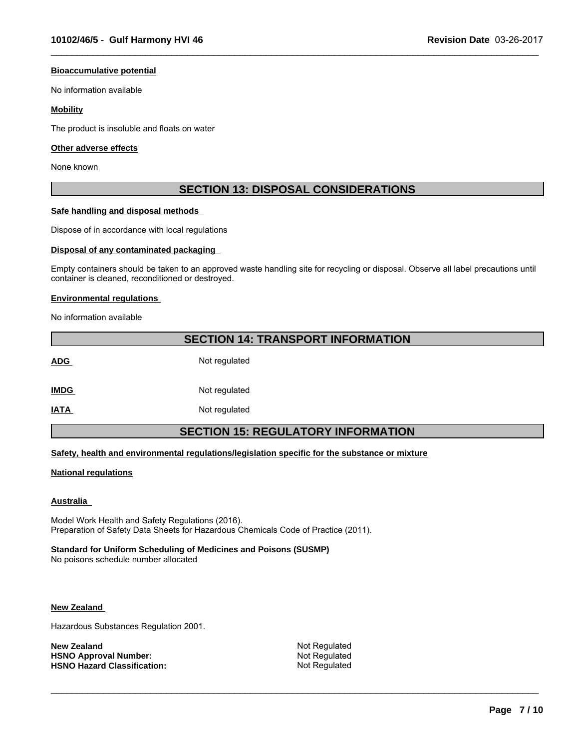#### **Bioaccumulative potential**

No information available

#### **Mobility**

The product is insoluble and floats on water

#### **Other adverse effects**

None known

## **SECTION 13: DISPOSAL CONSIDERATIONS**

 $\_$  ,  $\_$  ,  $\_$  ,  $\_$  ,  $\_$  ,  $\_$  ,  $\_$  ,  $\_$  ,  $\_$  ,  $\_$  ,  $\_$  ,  $\_$  ,  $\_$  ,  $\_$  ,  $\_$  ,  $\_$  ,  $\_$  ,  $\_$  ,  $\_$  ,  $\_$  ,  $\_$  ,  $\_$  ,  $\_$  ,  $\_$  ,  $\_$  ,  $\_$  ,  $\_$  ,  $\_$  ,  $\_$  ,  $\_$  ,  $\_$  ,  $\_$  ,  $\_$  ,  $\_$  ,  $\_$  ,  $\_$  ,  $\_$  ,

#### **Safe handling and disposal methods**

Dispose of in accordance with local regulations

#### **Disposal of any contaminated packaging**

Empty containers should be taken to an approved waste handling site for recycling or disposal. Observe all label precautions until container is cleaned, reconditioned or destroyed.

#### **Environmental regulations**

No information available

# **SECTION 14: TRANSPORT INFORMATION** ADG Not regulated **IMDG** Not regulated **IATA** Not regulated **SECTION 15: REGULATORY INFORMATION**

#### **Safety, health and environmental regulations/legislation specific for the substance or mixture**

#### **National regulations**

#### **Australia**

Model Work Health and Safety Regulations (2016). Preparation of Safety Data Sheets for Hazardous Chemicals Code of Practice (2011).

#### **Standard for Uniform Scheduling of Medicines and Poisons (SUSMP)**

No poisons schedule number allocated

#### **New Zealand**

Hazardous Substances Regulation 2001.

| New Zealand                        |  |
|------------------------------------|--|
| <b>HSNO Approval Number:</b>       |  |
| <b>HSNO Hazard Classification:</b> |  |

**Not Regulated Not Regulated Not Regulated** 

 $\_$  ,  $\_$  ,  $\_$  ,  $\_$  ,  $\_$  ,  $\_$  ,  $\_$  ,  $\_$  ,  $\_$  ,  $\_$  ,  $\_$  ,  $\_$  ,  $\_$  ,  $\_$  ,  $\_$  ,  $\_$  ,  $\_$  ,  $\_$  ,  $\_$  ,  $\_$  ,  $\_$  ,  $\_$  ,  $\_$  ,  $\_$  ,  $\_$  ,  $\_$  ,  $\_$  ,  $\_$  ,  $\_$  ,  $\_$  ,  $\_$  ,  $\_$  ,  $\_$  ,  $\_$  ,  $\_$  ,  $\_$  ,  $\_$  ,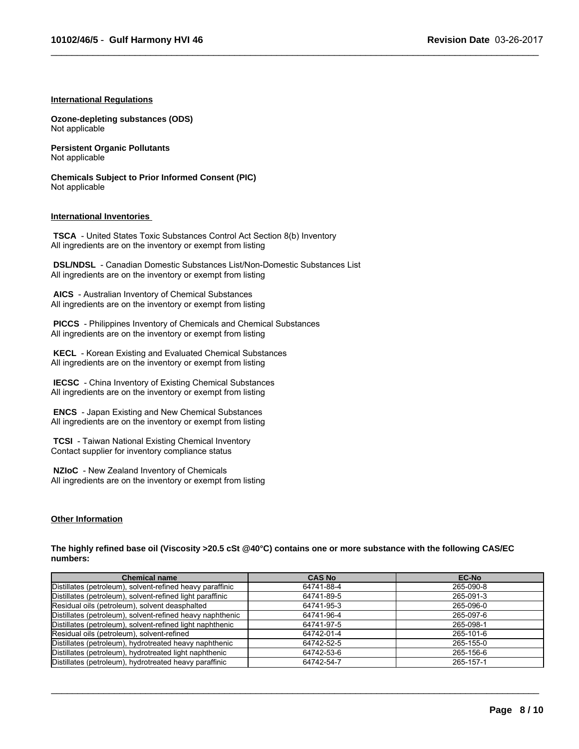$\_$  ,  $\_$  ,  $\_$  ,  $\_$  ,  $\_$  ,  $\_$  ,  $\_$  ,  $\_$  ,  $\_$  ,  $\_$  ,  $\_$  ,  $\_$  ,  $\_$  ,  $\_$  ,  $\_$  ,  $\_$  ,  $\_$  ,  $\_$  ,  $\_$  ,  $\_$  ,  $\_$  ,  $\_$  ,  $\_$  ,  $\_$  ,  $\_$  ,  $\_$  ,  $\_$  ,  $\_$  ,  $\_$  ,  $\_$  ,  $\_$  ,  $\_$  ,  $\_$  ,  $\_$  ,  $\_$  ,  $\_$  ,  $\_$  ,

#### **International Regulations**

**Ozone-depleting substances (ODS)** Not applicable

**Persistent Organic Pollutants** Not applicable

**Chemicals Subject to Prior Informed Consent (PIC)** Not applicable

#### **International Inventories**

 **TSCA** - United States Toxic Substances Control Act Section 8(b) Inventory All ingredients are on the inventory or exempt from listing

 **DSL/NDSL** - Canadian Domestic Substances List/Non-Domestic Substances List All ingredients are on the inventory or exempt from listing

 **AICS** - Australian Inventory of Chemical Substances All ingredients are on the inventory or exempt from listing

 **PICCS** - Philippines Inventory of Chemicals and Chemical Substances All ingredients are on the inventory or exempt from listing

 **KECL** - Korean Existing and Evaluated Chemical Substances All ingredients are on the inventory or exempt from listing

 **IECSC** - China Inventory of Existing Chemical Substances All ingredients are on the inventory or exempt from listing

 **ENCS** - Japan Existing and New Chemical Substances All ingredients are on the inventory or exempt from listing

 **TCSI** - Taiwan National Existing Chemical Inventory Contact supplier for inventory compliance status

 **NZIoC** - New Zealand Inventory of Chemicals All ingredients are on the inventory or exempt from listing

#### **Other Information**

**The highly refined base oil (Viscosity >20.5 cSt @40°C) contains one or more substance with the following CAS/EC numbers:**

| <b>Chemical name</b>                                      | <b>CAS No</b> | <b>EC-No</b> |
|-----------------------------------------------------------|---------------|--------------|
| Distillates (petroleum), solvent-refined heavy paraffinic | 64741-88-4    | 265-090-8    |
| Distillates (petroleum), solvent-refined light paraffinic | 64741-89-5    | 265-091-3    |
| Residual oils (petroleum), solvent deasphalted            | 64741-95-3    | 265-096-0    |
| Distillates (petroleum), solvent-refined heavy naphthenic | 64741-96-4    | 265-097-6    |
| Distillates (petroleum), solvent-refined light naphthenic | 64741-97-5    | 265-098-1    |
| Residual oils (petroleum), solvent-refined                | 64742-01-4    | 265-101-6    |
| Distillates (petroleum), hydrotreated heavy naphthenic    | 64742-52-5    | 265-155-0    |
| Distillates (petroleum), hydrotreated light naphthenic    | 64742-53-6    | 265-156-6    |
| Distillates (petroleum), hydrotreated heavy paraffinic    | 64742-54-7    | 265-157-1    |

 $\_$  ,  $\_$  ,  $\_$  ,  $\_$  ,  $\_$  ,  $\_$  ,  $\_$  ,  $\_$  ,  $\_$  ,  $\_$  ,  $\_$  ,  $\_$  ,  $\_$  ,  $\_$  ,  $\_$  ,  $\_$  ,  $\_$  ,  $\_$  ,  $\_$  ,  $\_$  ,  $\_$  ,  $\_$  ,  $\_$  ,  $\_$  ,  $\_$  ,  $\_$  ,  $\_$  ,  $\_$  ,  $\_$  ,  $\_$  ,  $\_$  ,  $\_$  ,  $\_$  ,  $\_$  ,  $\_$  ,  $\_$  ,  $\_$  ,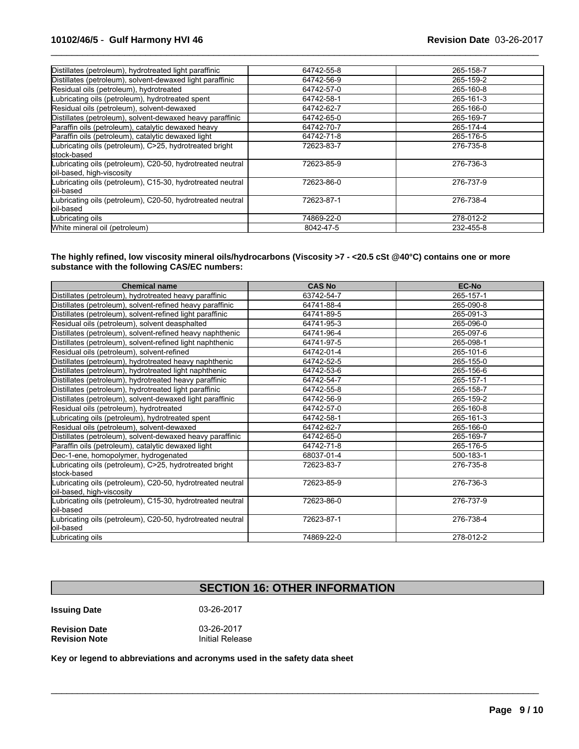| 64742-55-8 | 265-158-7 |
|------------|-----------|
| 64742-56-9 | 265-159-2 |
| 64742-57-0 | 265-160-8 |
| 64742-58-1 | 265-161-3 |
| 64742-62-7 | 265-166-0 |
| 64742-65-0 | 265-169-7 |
| 64742-70-7 | 265-174-4 |
| 64742-71-8 | 265-176-5 |
| 72623-83-7 | 276-735-8 |
|            |           |
| 72623-85-9 | 276-736-3 |
| 72623-86-0 | 276-737-9 |
| 72623-87-1 | 276-738-4 |
| 74869-22-0 | 278-012-2 |
| 8042-47-5  | 232-455-8 |
|            |           |

 $\_$  ,  $\_$  ,  $\_$  ,  $\_$  ,  $\_$  ,  $\_$  ,  $\_$  ,  $\_$  ,  $\_$  ,  $\_$  ,  $\_$  ,  $\_$  ,  $\_$  ,  $\_$  ,  $\_$  ,  $\_$  ,  $\_$  ,  $\_$  ,  $\_$  ,  $\_$  ,  $\_$  ,  $\_$  ,  $\_$  ,  $\_$  ,  $\_$  ,  $\_$  ,  $\_$  ,  $\_$  ,  $\_$  ,  $\_$  ,  $\_$  ,  $\_$  ,  $\_$  ,  $\_$  ,  $\_$  ,  $\_$  ,  $\_$  ,

**The highly refined, low viscosity mineral oils/hydrocarbons (Viscosity >7 - <20.5 cSt @40°C) contains one or more substance with the following CAS/EC numbers:**

| <b>Chemical name</b>                                                                                   | <b>CAS No</b> | <b>EC-No</b> |
|--------------------------------------------------------------------------------------------------------|---------------|--------------|
| Distillates (petroleum), hydrotreated heavy paraffinic                                                 | 63742-54-7    | 265-157-1    |
| Distillates (petroleum), solvent-refined heavy paraffinic                                              | 64741-88-4    | 265-090-8    |
| Distillates (petroleum), solvent-refined light paraffinic                                              | 64741-89-5    | 265-091-3    |
| Residual oils (petroleum), solvent deasphalted                                                         | 64741-95-3    | 265-096-0    |
| Distillates (petroleum), solvent-refined heavy naphthenic                                              | 64741-96-4    | 265-097-6    |
| Distillates (petroleum), solvent-refined light naphthenic                                              | 64741-97-5    | 265-098-1    |
| Residual oils (petroleum), solvent-refined                                                             | 64742-01-4    | 265-101-6    |
| Distillates (petroleum), hydrotreated heavy naphthenic                                                 | 64742-52-5    | 265-155-0    |
| Distillates (petroleum), hydrotreated light naphthenic                                                 | 64742-53-6    | 265-156-6    |
| Distillates (petroleum), hydrotreated heavy paraffinic                                                 | 64742-54-7    | 265-157-1    |
| Distillates (petroleum), hydrotreated light paraffinic                                                 | 64742-55-8    | 265-158-7    |
| Distillates (petroleum), solvent-dewaxed light paraffinic                                              | 64742-56-9    | 265-159-2    |
| Residual oils (petroleum), hydrotreated                                                                | 64742-57-0    | 265-160-8    |
| Lubricating oils (petroleum), hydrotreated spent                                                       | 64742-58-1    | 265-161-3    |
| Residual oils (petroleum), solvent-dewaxed                                                             | 64742-62-7    | 265-166-0    |
| Distillates (petroleum), solvent-dewaxed heavy paraffinic                                              | 64742-65-0    | 265-169-7    |
| Paraffin oils (petroleum), catalytic dewaxed light                                                     | 64742-71-8    | 265-176-5    |
| Dec-1-ene, homopolymer, hydrogenated                                                                   | 68037-01-4    | 500-183-1    |
| Lubricating oils (petroleum), C>25, hydrotreated bright                                                | 72623-83-7    | 276-735-8    |
| stock-based<br>Lubricating oils (petroleum), C20-50, hydrotreated neutral<br>oil-based, high-viscosity | 72623-85-9    | 276-736-3    |
| Lubricating oils (petroleum), C15-30, hydrotreated neutral<br>loil-based                               | 72623-86-0    | 276-737-9    |
| Lubricating oils (petroleum), C20-50, hydrotreated neutral<br>loil-based                               | 72623-87-1    | 276-738-4    |
| Lubricating oils                                                                                       | 74869-22-0    | 278-012-2    |

## **SECTION 16: OTHER INFORMATION**

 $\mathcal{L}_\mathcal{L} = \{ \mathcal{L}_\mathcal{L} = \{ \mathcal{L}_\mathcal{L} = \{ \mathcal{L}_\mathcal{L} = \{ \mathcal{L}_\mathcal{L} = \{ \mathcal{L}_\mathcal{L} = \{ \mathcal{L}_\mathcal{L} = \{ \mathcal{L}_\mathcal{L} = \{ \mathcal{L}_\mathcal{L} = \{ \mathcal{L}_\mathcal{L} = \{ \mathcal{L}_\mathcal{L} = \{ \mathcal{L}_\mathcal{L} = \{ \mathcal{L}_\mathcal{L} = \{ \mathcal{L}_\mathcal{L} = \{ \mathcal{L}_\mathcal{$ 

**Issuing Date** 03-26-2017

| <b>Revision Date</b> | 03-26-2017      |
|----------------------|-----------------|
| <b>Revision Note</b> | Initial Release |

**Key or legend to abbreviations and acronyms used in the safety data sheet**